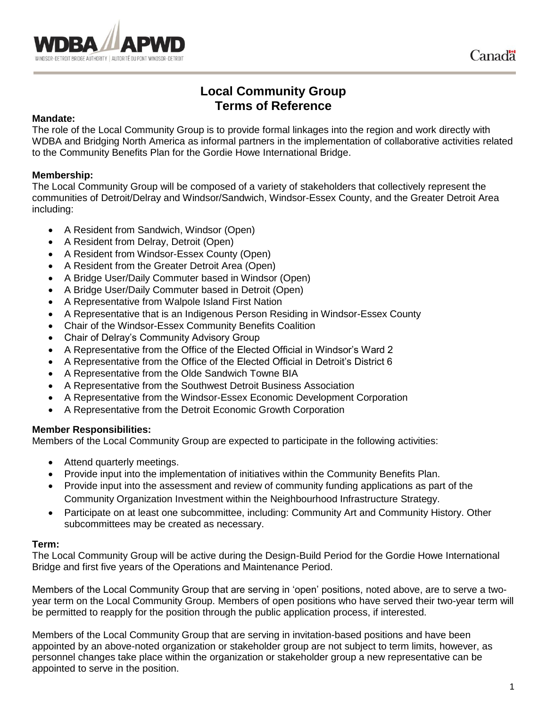

# **Local Community Group Terms of Reference**

#### **Mandate:**

The role of the Local Community Group is to provide formal linkages into the region and work directly with WDBA and Bridging North America as informal partners in the implementation of collaborative activities related to the Community Benefits Plan for the Gordie Howe International Bridge.

#### **Membership:**

The Local Community Group will be composed of a variety of stakeholders that collectively represent the communities of Detroit/Delray and Windsor/Sandwich, Windsor-Essex County, and the Greater Detroit Area including:

- A Resident from Sandwich, Windsor (Open)
- A Resident from Delray, Detroit (Open)
- A Resident from Windsor-Essex County (Open)
- A Resident from the Greater Detroit Area (Open)
- A Bridge User/Daily Commuter based in Windsor (Open)
- A Bridge User/Daily Commuter based in Detroit (Open)
- A Representative from Walpole Island First Nation
- A Representative that is an Indigenous Person Residing in Windsor-Essex County
- Chair of the Windsor-Essex Community Benefits Coalition
- Chair of Delray's Community Advisory Group
- A Representative from the Office of the Elected Official in Windsor's Ward 2
- A Representative from the Office of the Elected Official in Detroit's District 6
- A Representative from the Olde Sandwich Towne BIA
- A Representative from the Southwest Detroit Business Association
- A Representative from the Windsor-Essex Economic Development Corporation
- A Representative from the Detroit Economic Growth Corporation

#### **Member Responsibilities:**

Members of the Local Community Group are expected to participate in the following activities:

- Attend quarterly meetings.
- Provide input into the implementation of initiatives within the Community Benefits Plan.
- Provide input into the assessment and review of community funding applications as part of the Community Organization Investment within the Neighbourhood Infrastructure Strategy.
- Participate on at least one subcommittee, including: Community Art and Community History. Other subcommittees may be created as necessary.

#### **Term:**

The Local Community Group will be active during the Design-Build Period for the Gordie Howe International Bridge and first five years of the Operations and Maintenance Period.

Members of the Local Community Group that are serving in 'open' positions, noted above, are to serve a twoyear term on the Local Community Group. Members of open positions who have served their two-year term will be permitted to reapply for the position through the public application process, if interested.

Members of the Local Community Group that are serving in invitation-based positions and have been appointed by an above-noted organization or stakeholder group are not subject to term limits, however, as personnel changes take place within the organization or stakeholder group a new representative can be appointed to serve in the position.